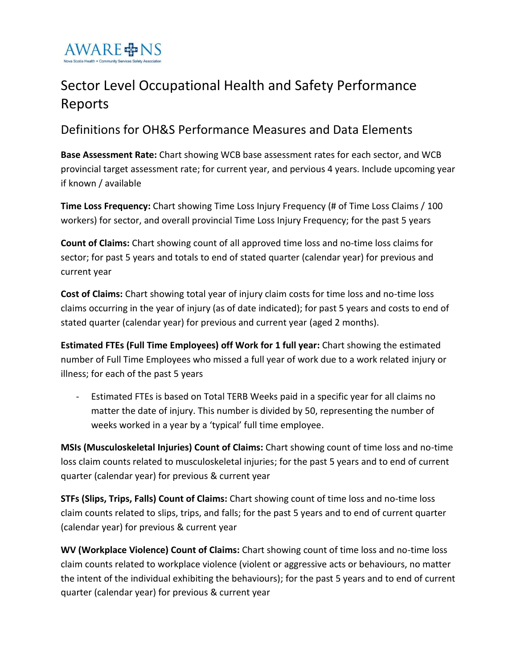

## Sector Level Occupational Health and Safety Performance Reports

Definitions for OH&S Performance Measures and Data Elements

**Base Assessment Rate:** Chart showing WCB base assessment rates for each sector, and WCB provincial target assessment rate; for current year, and pervious 4 years. Include upcoming year if known / available

**Time Loss Frequency:** Chart showing Time Loss Injury Frequency (# of Time Loss Claims / 100 workers) for sector, and overall provincial Time Loss Injury Frequency; for the past 5 years

**Count of Claims:** Chart showing count of all approved time loss and no-time loss claims for sector; for past 5 years and totals to end of stated quarter (calendar year) for previous and current year

**Cost of Claims:** Chart showing total year of injury claim costs for time loss and no-time loss claims occurring in the year of injury (as of date indicated); for past 5 years and costs to end of stated quarter (calendar year) for previous and current year (aged 2 months).

**Estimated FTEs (Full Time Employees) off Work for 1 full year:** Chart showing the estimated number of Full Time Employees who missed a full year of work due to a work related injury or illness; for each of the past 5 years

- Estimated FTEs is based on Total TERB Weeks paid in a specific year for all claims no matter the date of injury. This number is divided by 50, representing the number of weeks worked in a year by a 'typical' full time employee.

**MSIs (Musculoskeletal Injuries) Count of Claims:** Chart showing count of time loss and no-time loss claim counts related to musculoskeletal injuries; for the past 5 years and to end of current quarter (calendar year) for previous & current year

**STFs (Slips, Trips, Falls) Count of Claims:** Chart showing count of time loss and no-time loss claim counts related to slips, trips, and falls; for the past 5 years and to end of current quarter (calendar year) for previous & current year

**WV (Workplace Violence) Count of Claims:** Chart showing count of time loss and no-time loss claim counts related to workplace violence (violent or aggressive acts or behaviours, no matter the intent of the individual exhibiting the behaviours); for the past 5 years and to end of current quarter (calendar year) for previous & current year